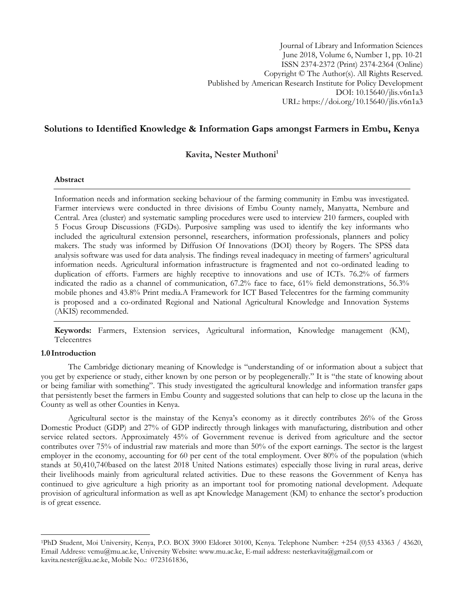Journal of Library and Information Sciences June 2018, Volume 6, Number 1, pp. 10-21 ISSN 2374-2372 (Print) 2374-2364 (Online) Copyright © The Author(s). All Rights Reserved. Published by American Research Institute for Policy Development DOI: 10.15640/jlis.v6n1a3 URL: https://doi.org/10.15640/jlis.v6n1a3

# **Solutions to Identified Knowledge & Information Gaps amongst Farmers in Embu, Kenya**

**Kavita, Nester Muthoni<sup>1</sup>**

#### **Abstract**

Information needs and information seeking behaviour of the farming community in Embu was investigated. Farmer interviews were conducted in three divisions of Embu County namely, Manyatta, Nembure and Central. Area (cluster) and systematic sampling procedures were used to interview 210 farmers, coupled with 5 Focus Group Discussions (FGDs). Purposive sampling was used to identify the key informants who included the agricultural extension personnel, researchers, information professionals, planners and policy makers. The study was informed by Diffusion Of Innovations (DOI) theory by Rogers. The SPSS data analysis software was used for data analysis. The findings reveal inadequacy in meeting of farmers' agricultural information needs. Agricultural information infrastructure is fragmented and not co-ordinated leading to duplication of efforts. Farmers are highly receptive to innovations and use of ICTs. 76.2% of farmers indicated the radio as a channel of communication, 67.2% face to face, 61% field demonstrations, 56.3% mobile phones and 43.8% Print media.A Framework for ICT Based Telecentres for the farming community is proposed and a co-ordinated Regional and National Agricultural Knowledge and Innovation Systems (AKIS) recommended.

**Keywords:** Farmers, Extension services, Agricultural information, Knowledge management (KM), **Telecentres** 

# **1.0Introduction**

l

The Cambridge dictionary meaning of Knowledge is "[understanding](http://dictionary.cambridge.org/dictionary/english/understanding) of or [information](http://dictionary.cambridge.org/dictionary/english/information) about a [subject](http://dictionary.cambridge.org/dictionary/english/subject) that you get by [experience](http://dictionary.cambridge.org/dictionary/english/experience) or [study,](http://dictionary.cambridge.org/dictionary/english/study) either [known](http://dictionary.cambridge.org/dictionary/english/known) by one [person](http://dictionary.cambridge.org/dictionary/english/person) or by [peoplegenerally](http://dictionary.cambridge.org/dictionary/english/people)." It is "the [state](http://dictionary.cambridge.org/dictionary/english/state) of [knowing](http://dictionary.cambridge.org/dictionary/english/knowing) about or being [familiar](http://dictionary.cambridge.org/dictionary/english/familiar) with something". This study investigated the agricultural knowledge and information transfer gaps that persistently beset the farmers in Embu County and suggested solutions that can help to close up the lacuna in the County as well as other Counties in Kenya.

Agricultural sector is the mainstay of the Kenya's economy as it directly contributes 26% of the Gross Domestic Product (GDP) and 27% of GDP indirectly through linkages with manufacturing, distribution and other service related sectors. Approximately 45% of Government revenue is derived from agriculture and the sector contributes over 75% of industrial raw materials and more than 50% of the export earnings. The sector is the largest employer in the economy, accounting for 60 per cent of the total employment. Over 80% of the population (which stands at 50,410,740based on the latest 2018 United Nations estimates) especially those living in rural areas, derive their livelihoods mainly from agricultural related activities. Due to these reasons the Government of Kenya has continued to give agriculture a high priority as an important tool for promoting national development. Adequate provision of agricultural information as well as apt Knowledge Management (KM) to enhance the sector's production is of great essence.

<sup>1</sup>PhD Student, Moi University, Kenya, P.O. BOX 3900 Eldoret 30100, Kenya. Telephone Number: +254 (0)53 43363 / 43620, Email Address[: vcmu@mu.ac.ke,](mailto:vcmu@mu.ac.ke) University Website: [www.mu.ac.ke,](http://www.mu.ac.ke/) E-mail address: [nesterkavita@gmail.com](mailto:nesterkavita@gmail.com) or [kavita.nester@ku.ac.ke,](mailto:kavita.nester@ku.ac.ke) Mobile No.: 0723161836,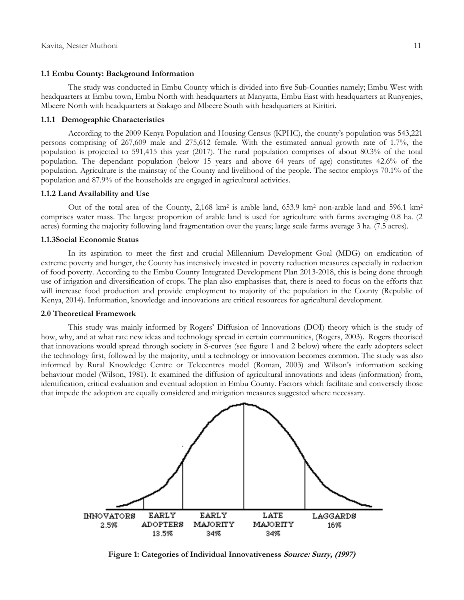#### **1.1 Embu County: Background Information**

The study was conducted in Embu County which is divided into five Sub-Counties namely; Embu West with headquarters at Embu town, Embu North with headquarters at Manyatta, Embu East with headquarters at Runyenjes, Mbeere North with headquarters at Siakago and Mbeere South with headquarters at Kiritiri.

#### **1.1.1 Demographic Characteristics**

According to the 2009 Kenya Population and Housing Census (KPHC), the county's population was 543,221 persons comprising of 267,609 male and 275,612 female. With the estimated annual growth rate of 1.7%, the population is projected to 591,415 this year (2017). The rural population comprises of about 80.3% of the total population. The dependant population (below 15 years and above 64 years of age) constitutes 42.6% of the population. Agriculture is the mainstay of the County and livelihood of the people. The sector employs 70.1% of the population and 87.9% of the households are engaged in agricultural activities.

#### **1.1.2 Land Availability and Use**

Out of the total area of the County, 2,168 km<sup>2</sup> is arable land, 653.9 km<sup>2</sup> non-arable land and 596.1 km<sup>2</sup> comprises water mass. The largest proportion of arable land is used for agriculture with farms averaging 0.8 ha. (2 acres) forming the majority following land fragmentation over the years; large scale farms average 3 ha. (7.5 acres).

#### **1.1.3Social Economic Status**

In its aspiration to meet the first and crucial Millennium Development Goal (MDG) on eradication of extreme poverty and hunger, the County has intensively invested in poverty reduction measures especially in reduction of food poverty. According to the Embu County Integrated Development Plan 2013-2018, this is being done through use of irrigation and diversification of crops. The plan also emphasises that, there is need to focus on the efforts that will increase food production and provide employment to majority of the population in the County (Republic of Kenya, 2014). Information, knowledge and innovations are critical resources for agricultural development.

#### **2.0 Theoretical Framework**

This study was mainly informed by Rogers' Diffusion of Innovations (DOI) theory which is the study of how, why, and at what rate new ideas and technology spread in certain communities, (Rogers, 2003). Rogers theorised that innovations would spread through society in S-curves (see figure 1 and 2 below) where the early adopters select the technology first, followed by the majority, until a technology or innovation becomes common. The study was also informed by Rural Knowledge Centre or Telecentres model (Roman, 2003) and Wilson's information seeking behaviour model (Wilson, 1981). It examined the diffusion of agricultural innovations and ideas (information) from, identification, critical evaluation and eventual adoption in Embu County. Factors which facilitate and conversely those that impede the adoption are equally considered and mitigation measures suggested where necessary.



**Figure 1: Categories of Individual Innovativeness Source: Surry, (1997)**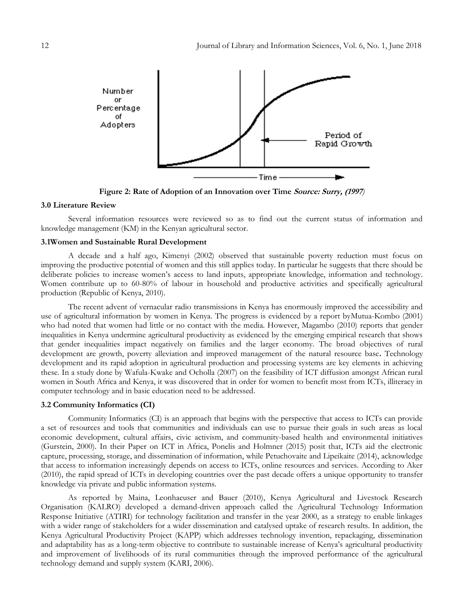

**Figure 2: Rate of Adoption of an Innovation over Time Source: Surry, (1997***)*

#### **3.0 Literature Review**

Several information resources were reviewed so as to find out the current status of information and knowledge management (KM) in the Kenyan agricultural sector.

#### **3.1Women and Sustainable Rural Development**

A decade and a half ago, Kimenyi (2002) observed that sustainable poverty reduction must focus on improving the productive potential of women and this still applies today. In particular he suggests that there should be deliberate policies to increase women's access to land inputs, appropriate knowledge, information and technology. Women contribute up to 60-80% of labour in household and productive activities and specifically agricultural production (Republic of Kenya, 2010).

The recent advent of vernacular radio transmissions in Kenya has enormously improved the accessibility and use of agricultural information by women in Kenya. The progress is evidenced by a report byMutua-Kombo (2001) who had noted that women had little or no contact with the media. However, Magambo (2010) reports that gender inequalities in Kenya undermine agricultural productivity as evidenced by the emerging empirical research that shows that gender inequalities impact negatively on families and the larger economy. The broad objectives of rural development are growth, poverty alleviation and improved management of the natural resource base**.** Technology development and its rapid adoption in agricultural production and processing systems are key elements in achieving these. In a study done by Wafula-Kwake and Ocholla (2007) on the feasibility of ICT diffusion amongst African rural women in South Africa and Kenya, it was discovered that in order for women to benefit most from ICTs, illiteracy in computer technology and in basic education need to be addressed.

#### **3.2 Community Informatics (CI)**

Community Informatics (CI) is an approach that begins with the perspective that access to ICTs can provide a set of resources and tools that communities and individuals can use to pursue their goals in such areas as local economic development, cultural affairs, civic activism, and community-based health and environmental initiatives (Gurstein, 2000). In their Paper on ICT in Africa, Ponelis and Holmner (2015) posit that, ICTs aid the electronic capture, processing, storage, and dissemination of information, while Petuchovaite and Lipeikaite (2014), acknowledge that access to information increasingly depends on access to ICTs, online resources and services. According to Aker (2010), the rapid spread of ICTs in developing countries over the past decade offers a unique opportunity to transfer knowledge via private and public information systems.

As reported by Maina, Leonhaeuser and Bauer (2010), Kenya Agricultural and Livestock Research Organisation (KALRO) developed a demand-driven approach called the Agricultural Technology Information Response Initiative (ATIRI) for technology facilitation and transfer in the year 2000, as a strategy to enable linkages with a wider range of stakeholders for a wider dissemination and catalysed uptake of research results. In addition, the Kenya Agricultural Productivity Project (KAPP) which addresses technology invention, repackaging, dissemination and adaptability has as a long-term objective to contribute to sustainable increase of Kenya's agricultural productivity and improvement of livelihoods of its rural communities through the improved performance of the agricultural technology demand and supply system (KARI, 2006).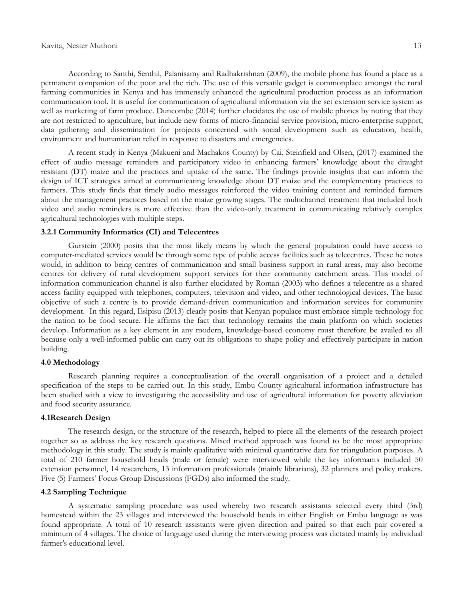According to Santhi, Senthil, Palanisamy and Radhakrishnan (2009), the mobile phone has found a place as a permanent companion of the poor and the rich. The use of this versatile gadget is commonplace amongst the rural farming communities in Kenya and has immensely enhanced the agricultural production process as an information communication tool. It is useful for communication of agricultural information via the set extension service system as well as marketing of farm produce. Duncombe (2014) further elucidates the use of mobile phones by noting that they are not restricted to agriculture, but include new forms of micro-financial service provision, micro-enterprise support, data gathering and dissemination for projects concerned with social development such as education, health, environment and humanitarian relief in response to disasters and emergencies.

A recent study in Kenya (Makueni and Machakos County) by Cai, Steinfield and Olsen, (2017) examined the effect of audio message reminders and participatory video in enhancing farmers' knowledge about the draught resistant (DT) maize and the practices and uptake of the same. The findings provide insights that can inform the design of ICT strategies aimed at communicating knowledge about DT maize and the complementary practices to farmers. This study finds that timely audio messages reinforced the video training content and reminded farmers about the management practices based on the maize growing stages. The multichannel treatment that included both video and audio reminders is more effective than the video-only treatment in communicating relatively complex agricultural technologies with multiple steps.

#### **3.2.1 Community Informatics (CI) and Telecentres**

Gurstein (2000) posits that the most likely means by which the general population could have access to computer-mediated services would be through some type of public access facilities such as telecentres. These he notes would, in addition to being centres of communication and small business support in rural areas, may also become centres for delivery of rural development support services for their community catchment areas. This model of information communication channel is also further elucidated by Roman (2003) who defines a telecentre as a shared access facility equipped with telephones, computers, television and video, and other technological devices. The basic objective of such a centre is to provide demand-driven communication and information services for community development. In this regard, Esipisu (2013) clearly posits that Kenyan populace must embrace simple technology for the nation to be food secure. He affirms the fact that technology remains the main platform on which societies develop. Information as a key element in any modern, knowledge-based economy must therefore be availed to all because only a well-informed public can carry out its obligations to shape policy and effectively participate in nation building.

#### **4.0 Methodology**

Research planning requires a conceptualisation of the overall organisation of a project and a detailed specification of the steps to be carried out. In this study, Embu County agricultural information infrastructure has been studied with a view to investigating the accessibility and use of agricultural information for poverty alleviation and food security assurance.

#### **4.1Research Design**

The research design, or the structure of the research, helped to piece all the elements of the research project together so as address the key research questions. Mixed method approach was found to be the most appropriate methodology in this study. The study is mainly qualitative with minimal quantitative data for triangulation purposes. A total of 210 farmer household heads (male or female) were interviewed while the key informants included 50 extension personnel, 14 researchers, 13 information professionals (mainly librarians), 32 planners and policy makers. Five (5) Farmers' Focus Group Discussions (FGDs) also informed the study.

## **4.2 Sampling Technique**

A systematic sampling procedure was used whereby two research assistants selected every third (3rd) homestead within the 23 villages and interviewed the household heads in either English or Embu language as was found appropriate. A total of 10 research assistants were given direction and paired so that each pair covered a minimum of 4 villages. The choice of language used during the interviewing process was dictated mainly by individual farmer's educational level.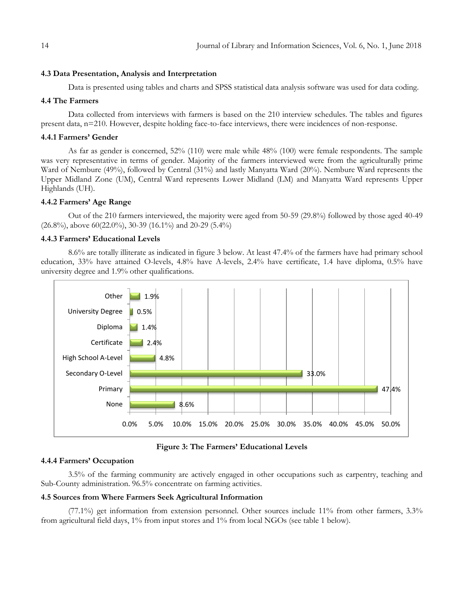#### **4.3 Data Presentation, Analysis and Interpretation**

Data is presented using tables and charts and SPSS statistical data analysis software was used for data coding.

#### **4.4 The Farmers**

Data collected from interviews with farmers is based on the 210 interview schedules. The tables and figures present data, n=210. However, despite holding face-to-face interviews, there were incidences of non-response.

#### **4.4.1 Farmers' Gender**

As far as gender is concerned, 52% (110) were male while 48% (100) were female respondents. The sample was very representative in terms of gender. Majority of the farmers interviewed were from the agriculturally prime Ward of Nembure (49%), followed by Central (31%) and lastly Manyatta Ward (20%). Nembure Ward represents the Upper Midland Zone (UM), Central Ward represents Lower Midland (LM) and Manyatta Ward represents Upper Highlands (UH).

#### **4.4.2 Farmers' Age Range**

Out of the 210 farmers interviewed, the majority were aged from 50-59 (29.8%) followed by those aged 40-49 (26.8%), above 60(22.0%), 30-39 (16.1%) and 20-29 (5.4%)

## **4.4.3 Farmers' Educational Levels**

8.6% are totally illiterate as indicated in figure 3 below. At least 47.4% of the farmers have had primary school education, 33% have attained O-levels, 4.8% have A-levels, 2.4% have certificate, 1.4 have diploma, 0.5% have university degree and 1.9% other qualifications.



**Figure 3: The Farmers' Educational Levels**

#### **4.4.4 Farmers' Occupation**

3.5% of the farming community are actively engaged in other occupations such as carpentry, teaching and Sub-County administration. 96.5% concentrate on farming activities.

#### **4.5 Sources from Where Farmers Seek Agricultural Information**

(77.1%) get information from extension personnel. Other sources include 11% from other farmers, 3.3% from agricultural field days, 1% from input stores and 1% from local NGOs (see table 1 below).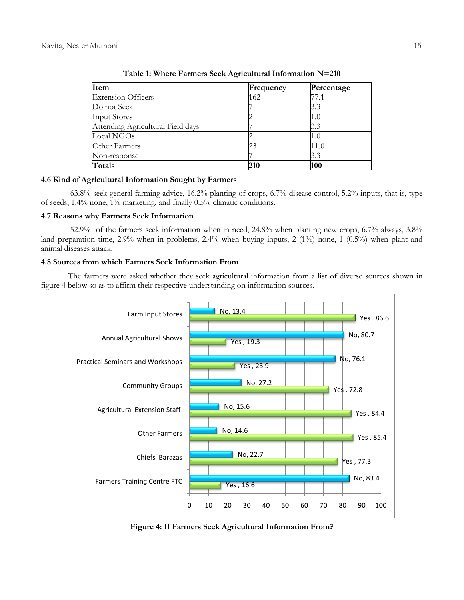| Item                              | Frequency | Percentage |
|-----------------------------------|-----------|------------|
| <b>Extension Officers</b>         | 162       | 77.1       |
| Do not Seek                       |           | 3.3        |
| <b>Input Stores</b>               |           | 1.0        |
| Attending Agricultural Field days |           | 3.3        |
| Local NGOs                        |           | 1.0        |
| Other Farmers                     |           | 11.0       |
| Non-response                      |           | 3.3        |
| Totals                            | 210       | 100        |

**Table 1: Where Farmers Seek Agricultural Information N=210**

# **4.6 Kind of Agricultural Information Sought by Farmers**

63.8% seek general farming advice, 16.2% planting of crops, 6.7% disease control, 5.2% inputs, that is, type of seeds, 1.4% none, 1% marketing, and finally 0.5% climatic conditions.

## **4.7 Reasons why Farmers Seek Information**

52.9% of the farmers seek information when in need, 24.8% when planting new crops, 6.7% always, 3.8% land preparation time,  $2.9\%$  when in problems,  $2.4\%$  when buying inputs,  $2(1\%)$  none,  $1(0.5\%)$  when plant and animal diseases attack.

# **4.8 Sources from which Farmers Seek Information From**

The farmers were asked whether they seek agricultural information from a list of diverse sources shown in figure 4 below so as to affirm their respective understanding on information sources.



**Figure 4: If Farmers Seek Agricultural Information From?**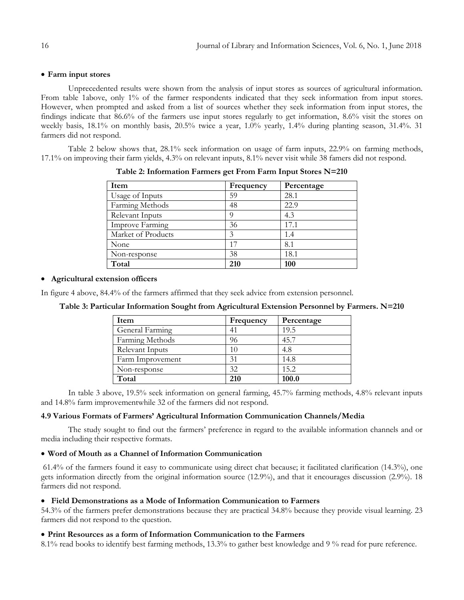## **Farm input stores**

Unprecedented results were shown from the analysis of input stores as sources of agricultural information. From table 1above, only 1% of the farmer respondents indicated that they seek information from input stores. However, when prompted and asked from a list of sources whether they seek information from input stores, the findings indicate that 86.6% of the farmers use input stores regularly to get information, 8.6% visit the stores on weekly basis, 18.1% on monthly basis, 20.5% twice a year, 1.0% yearly, 1.4% during planting season, 31.4%. 31 farmers did not respond.

Table 2 below shows that, 28.1% seek information on usage of farm inputs, 22.9% on farming methods, 17.1% on improving their farm yields, 4.3% on relevant inputs, 8.1% never visit while 38 famers did not respond.

| Frequency | Percentage |
|-----------|------------|
| 59        | 28.1       |
| 48        | 22.9       |
| O         | 4.3        |
| 36        | 17.1       |
| 3         | 1.4        |
| 17        | 8.1        |
| 38        | 18.1       |
| 210       | 100        |
|           |            |

**Table 2: Information Farmers get From Farm Input Stores N=210**

# **Agricultural extension officers**

In figure 4 above, 84.4% of the farmers affirmed that they seek advice from extension personnel.

| Item             | Frequency | Percentage |
|------------------|-----------|------------|
| General Farming  | 41        | 19.5       |
| Farming Methods  | 96        | 45.7       |
| Relevant Inputs  | 10        | 4.8        |
| Farm Improvement | 31        | 14.8       |
| Non-response     | 32        | 15.2       |
| Total            | 210       | 100.0      |

**Table 3: Particular Information Sought from Agricultural Extension Personnel by Farmers. N=210**

In table 3 above, 19.5% seek information on general farming, 45.7% farming methods, 4.8% relevant inputs and 14.8% farm improvementwhile 32 of the farmers did not respond.

## **4.9 Various Formats of Farmers' Agricultural Information Communication Channels/Media**

The study sought to find out the farmers' preference in regard to the available information channels and or media including their respective formats.

## **Word of Mouth as a Channel of Information Communication**

61.4% of the farmers found it easy to communicate using direct chat because; it facilitated clarification (14.3%), one gets information directly from the original information source (12.9%), and that it encourages discussion (2.9%). 18 farmers did not respond.

## **Field Demonstrations as a Mode of Information Communication to Farmers**

54.3% of the farmers prefer demonstrations because they are practical 34.8% because they provide visual learning. 23 farmers did not respond to the question.

## **Print Resources as a form of Information Communication to the Farmers**

8.1% read books to identify best farming methods, 13.3% to gather best knowledge and 9 % read for pure reference.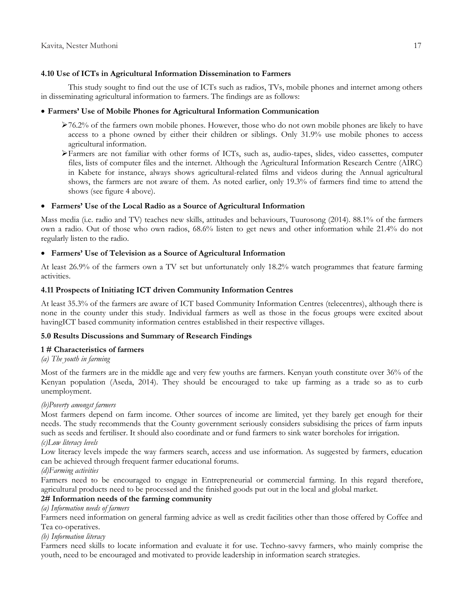# **4.10 Use of ICTs in Agricultural Information Dissemination to Farmers**

This study sought to find out the use of ICTs such as radios, TVs, mobile phones and internet among others in disseminating agricultural information to farmers. The findings are as follows:

# **Farmers' Use of Mobile Phones for Agricultural Information Communication**

- >76.2% of the farmers own mobile phones. However, those who do not own mobile phones are likely to have access to a phone owned by either their children or siblings. Only 31.9% use mobile phones to access agricultural information.
- Farmers are not familiar with other forms of ICTs, such as, audio-tapes, slides, video cassettes, computer files, lists of computer files and the internet. Although the Agricultural Information Research Centre (AIRC) in Kabete for instance, always shows agricultural-related films and videos during the Annual agricultural shows, the farmers are not aware of them. As noted earlier, only 19.3% of farmers find time to attend the shows (see figure 4 above).

## **Farmers' Use of the Local Radio as a Source of Agricultural Information**

Mass media (i.e. radio and TV) teaches new skills, attitudes and behaviours, Tuurosong (2014). 88.1% of the farmers own a radio. Out of those who own radios, 68.6% listen to get news and other information while 21.4% do not regularly listen to the radio.

# **Farmers' Use of Television as a Source of Agricultural Information**

At least 26.9% of the farmers own a TV set but unfortunately only 18.2% watch programmes that feature farming activities.

## **4.11 Prospects of Initiating ICT driven Community Information Centres**

At least 35.3% of the farmers are aware of ICT based Community Information Centres (telecentres), although there is none in the county under this study. Individual farmers as well as those in the focus groups were excited about havingICT based community information centres established in their respective villages.

## **5.0 Results Discussions and Summary of Research Findings**

## **1 # Characteristics of farmers**

# *(a) The youth in farming*

Most of the farmers are in the middle age and very few youths are farmers. Kenyan youth constitute over 36% of the Kenyan population (Aseda, 2014). They should be encouraged to take up farming as a trade so as to curb unemployment.

## *(b)Poverty amongst farmers*

Most farmers depend on farm income. Other sources of income are limited, yet they barely get enough for their needs. The study recommends that the County government seriously considers subsidising the prices of farm inputs such as seeds and fertiliser. It should also coordinate and or fund farmers to sink water boreholes for irrigation.

# *(c)Low literacy levels*

Low literacy levels impede the way farmers search, access and use information. As suggested by farmers, education can be achieved through frequent farmer educational forums.

## *(d)Farming activities*

Farmers need to be encouraged to engage in Entrepreneurial or commercial farming. In this regard therefore, agricultural products need to be processed and the finished goods put out in the local and global market.

# **2# Information needs of the farming community**

*(a) Information needs of farmers*

Farmers need information on general farming advice as well as credit facilities other than those offered by Coffee and Tea co-operatives.

# *(b) Information literacy*

Farmers need skills to locate information and evaluate it for use. Techno-savvy farmers, who mainly comprise the youth, need to be encouraged and motivated to provide leadership in information search strategies.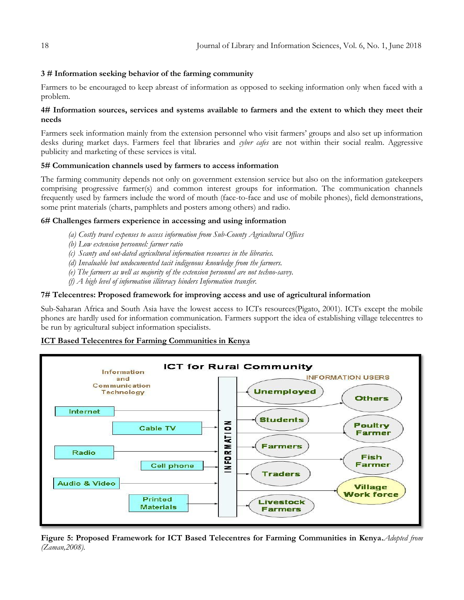# **3 # Information seeking behavior of the farming community**

Farmers to be encouraged to keep abreast of information as opposed to seeking information only when faced with a problem.

# **4# Information sources, services and systems available to farmers and the extent to which they meet their needs**

Farmers seek information mainly from the extension personnel who visit farmers' groups and also set up information desks during market days. Farmers feel that libraries and *cyber cafes* are not within their social realm. Aggressive publicity and marketing of these services is vital.

# **5# Communication channels used by farmers to access information**

The farming community depends not only on government extension service but also on the information gatekeepers comprising progressive farmer(s) and common interest groups for information. The communication channels frequently used by farmers include the word of mouth (face-to-face and use of mobile phones), field demonstrations, some print materials (charts, pamphlets and posters among others) and radio.

# **6# Challenges farmers experience in accessing and using information**

- *(a) Costly travel expenses to access information from Sub-County Agricultural Offices*
- *(b) Low extension personnel: farmer ratio*
- *(c) Scanty and out-dated agricultural information resources in the libraries.*
- *(d) Invaluable but undocumented tacit indigenous knowledge from the farmers.*
- *(e) The farmers as well as majority of the extension personnel are not techno-savvy.*
- *(f) A high level of information illiteracy hinders Information transfer.*

## **7# Telecentres: Proposed framework for improving access and use of agricultural information**

Sub-Saharan Africa and South Asia have the lowest access to ICTs resources(Pigato, 2001). ICTs except the mobile phones are hardly used for information communication. Farmers support the idea of establishing village telecentres to be run by agricultural subject information specialists.

## **ICT Based Telecentres for Farming Communities in Kenya**



**Figure 5: Proposed Framework for ICT Based Telecentres for Farming Communities in Kenya.***Adopted from (Zaman,2008).*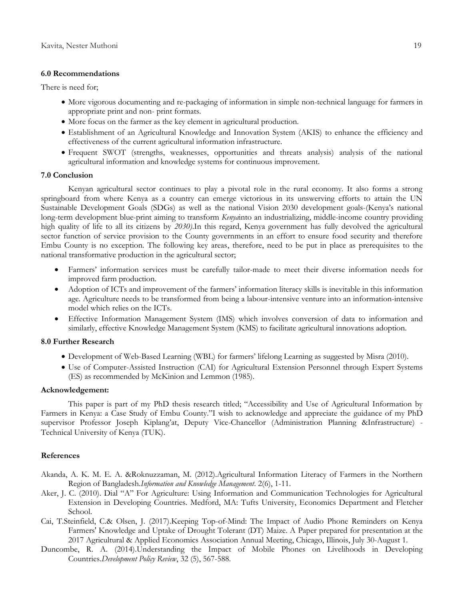#### **6.0 Recommendations**

There is need for;

- More vigorous documenting and re-packaging of information in simple non-technical language for farmers in appropriate print and non- print formats.
- More focus on the farmer as the key element in agricultural production.
- Establishment of an Agricultural Knowledge and Innovation System (AKIS) to enhance the efficiency and effectiveness of the current agricultural information infrastructure.
- Frequent SWOT (strengths, weaknesses, opportunities and threats analysis) analysis of the national agricultural information and knowledge systems for continuous improvement.

#### **7.0 Conclusion**

Kenyan agricultural sector continues to play a pivotal role in the rural economy. It also forms a strong springboard from where Kenya as a country can emerge victorious in its unswerving efforts to attain the UN Sustainable Development Goals (SDGs) as well as the national Vision 2030 development goals-(Kenya's national long-term development blue-print aiming to transform *Kenya*into an industrializing, middle-income country providing high quality of life to all its citizens by *2030)*.In this regard, Kenya government has fully devolved the agricultural sector function of service provision to the County governments in an effort to ensure food security and therefore Embu County is no exception. The following key areas, therefore, need to be put in place as prerequisites to the national transformative production in the agricultural sector;

- Farmers' information services must be carefully tailor-made to meet their diverse information needs for improved farm production.
- Adoption of ICTs and improvement of the farmers' information literacy skills is inevitable in this information age. Agriculture needs to be transformed from being a labour-intensive venture into an information-intensive model which relies on the ICTs.
- Effective Information Management System (IMS) which involves conversion of data to information and similarly, effective Knowledge Management System (KMS) to facilitate agricultural innovations adoption.

## **8.0 Further Research**

- Development of Web-Based Learning (WBL) for farmers' lifelong Learning as suggested by Misra (2010).
- Use of Computer-Assisted Instruction (CAI) for Agricultural Extension Personnel through Expert Systems (ES) as recommended by McKinion and Lemmon (1985).

#### **Acknowledgement:**

This paper is part of my PhD thesis research titled; "Accessibility and Use of Agricultural Information by Farmers in Kenya: a Case Study of Embu County."I wish to acknowledge and appreciate the guidance of my PhD supervisor Professor Joseph Kiplang'at, Deputy Vice-Chancellor (Administration Planning &Infrastructure) - Technical University of Kenya (TUK).

#### **References**

- Akanda, A. K. M. E. A. &Roknuzzaman, M. (2012).Agricultural Information Literacy of Farmers in the Northern Region of Bangladesh.*Information and Knowledge Management*. 2(6), 1-11.
- Aker, J. C. (2010). Dial "A" For Agriculture: Using Information and Communication Technologies for Agricultural Extension in Developing Countries. Medford, MA: Tufts University, Economics Department and Fletcher School.
- Cai, T.Steinfield, C.& Olsen, J. (2017).Keeping Top-of-Mind: The Impact of Audio Phone Reminders on Kenya Farmers' Knowledge and Uptake of Drought Tolerant (DT) Maize. A Paper prepared for presentation at the 2017 Agricultural & Applied Economics Association Annual Meeting, Chicago, Illinois, July 30-August 1.
- Duncombe, R. A. (2014).Understanding the Impact of Mobile Phones on Livelihoods in Developing Countries.*Development Policy Review*, 32 (5), 567-588.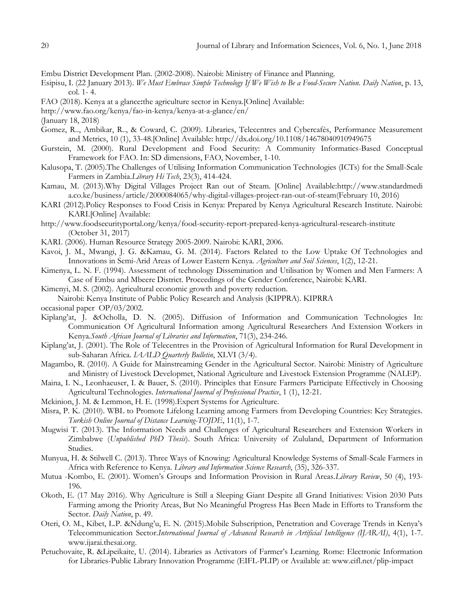Embu District Development Plan. (2002-2008). Nairobi: Ministry of Finance and Planning.

- Esipisu, I. (22 January 2013). *We Must Embrace Simple Technology If We Wish to Be a Food-Secure Nation*. *Daily Nation*, p. 13, col. 1- 4.
- FAO (2018). Kenya at a glance**:**the agriculture sector in Kenya.[Online] Available:
- <http://www.fao.org/kenya/fao-in-kenya/kenya-at-a-glance/en/>
- (January 18, 2018)
- Gomez, R.., Ambikar, R.., & Coward, C. (2009). Libraries, Telecentres and Cybercafés, Performance Measurement and Metrics, 10 (1), 33-48.[Online] Available:<http://dx.doi.org/10.1108/14678040910949675>
- Gurstein, M. (2000). Rural Development and Food Security: A Community Informatics-Based Conceptual Framework for FAO. In: SD dimensions, FAO, November, 1-10.
- Kalusopa, T. (2005).The Challenges of Utilising Information Communication Technologies (ICTs) for the Small-Scale Farmers in Zambia.*Library Hi Tech*, 23(3), 414-424.
- Kamau, M. (2013).Why Digital Villages Project Ran out of Steam. [Online] Available:http://www.standardmedi a.co.ke/business/article/2000084065/why-digital-villages-project-ran-out-of-steam(February 10, 2016)
- KARI (2012).Policy Responses to Food Crisis in Kenya: Prepared by Kenya Agricultural Research Institute. Nairobi: KARI.[Online] Available:
- <http://www.foodsecurityportal.org/kenya/food-security-report-prepared-kenya-agricultural-research-institute> (October 31, 2017)
- KARI. (2006). Human Resource Strategy 2005-2009. Nairobi: KARI, 2006.
- Kavoi, J. M., Mwangi, J. G. &Kamau, G. M. (2014). Factors Related to the Low Uptake Of Technologies and Innovations in Semi-Arid Areas of Lower Eastern Kenya. *Agriculture and Soil Sciences*, 1(2), 12-21.
- Kimenya, L. N. F. (1994). Assessment of technology Dissemination and Utilisation by Women and Men Farmers: A Case of Embu and Mbeere District. Proceedings of the Gender Conference, Nairobi: KARI.
- Kimenyi, M. S. (2002). Agricultural economic growth and poverty reduction.
- Nairobi: Kenya Institute of Public Policy Research and Analysis (KIPPRA). KIPRRA
- occasional paper OP/03/2002.
- Kiplang'at, J. &Ocholla, D. N. (2005). Diffusion of Information and Communication Technologies In: Communication Of Agricultural Information among Agricultural Researchers And Extension Workers in Kenya*.South African Journal of Libraries and Information*, 71(3), 234-246.
- Kiplang'at, J. (2001). The Role of Telecentres in the Provision of Agricultural Information for Rural Development in sub-Saharan Africa. *IAALD Quarterly Bulletin*, XLVI (3/4).
- Magambo, R. (2010). A Guide for Mainstreaming Gender in the Agricultural Sector. Nairobi: Ministry of Agriculture and Ministry of Livestock Developmet, National Agriculture and Livestock Extension Programme (NALEP).
- Maina, I. N., Leonhaeuser, I. & Bauer, S. (2010). Principles that Ensure Farmers Participate Effectively in Choosing Agricultural Technologies. *International Journal of Professional Practice*, 1 (1), 12-21.
- Mckinion, J. M. & Lemmon, H. E. (1998).Expert Systems for Agriculture.
- Misra, P. K. (2010). WBL to Promote Lifelong Learning among Farmers from Developing Countries: Key Strategies. *Turkish Online Journal of Distance Learning-TOJDE*, 11(1), 1-7.
- Mugwisi T. (2013). The Information Needs and Challenges of Agricultural Researchers and Extension Workers in Zimbabwe (*Unpublished PhD Thesis*). South Africa: University of Zululand, Department of Information Studies.
- Munyua, H. & Stilwell C. (2013). Three Ways of Knowing: Agricultural Knowledge Systems of Small-Scale Farmers in Africa with Reference to Kenya. *Library and Information Science Research*, (35), 326-337.
- Mutua -Kombo, E. (2001). Women's Groups and Information Provision in Rural Areas.*Library Review*, 50 (4), 193- 196.
- Okoth, E. (17 May 2016). Why Agriculture is Still a Sleeping Giant Despite all Grand Initiatives: Vision 2030 Puts Farming among the Priority Areas, But No Meaningful Progress Has Been Made in Efforts to Transform the Sector. *Daily Nation*, p. 49.
- Oteri, O. M., Kibet, L.P. &Ndung'u, E. N. (2015).Mobile Subscription, Penetration and Coverage Trends in Kenya's Telecommunication Sector.*International Journal of Advanced Research in Artificial Intelligence (IJARAI)*, 4(1), 1-7. www.ijarai.thesai.org.
- Petuchovaite, R. &Lipeikaite, U. (2014). Libraries as Activators of Farmer's Learning. Rome: Electronic Information for Libraries-Public Library Innovation Programme (EIFL-PLIP) or Available at: [www.eifl.net/plip-impact](http://www.eifl.net/plip-impact)